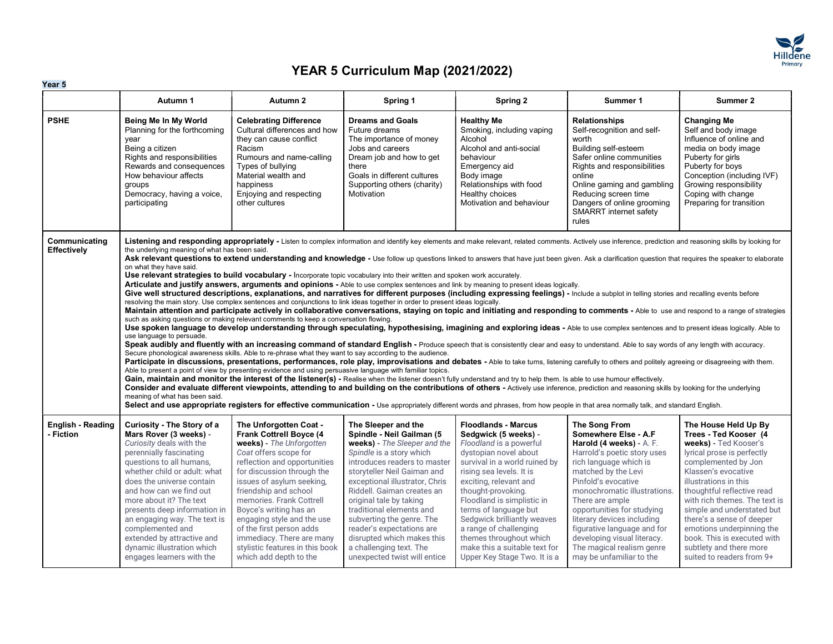

|                                       | Autumn 1                                                                                                                                                                                                                                                                                                                                                                                                                                | Autumn 2                                                                                                                                                                                                                                                                                                                                                                                                                             | Spring 1                                                                                                                                                                                                                                                                                                                                                                                                                                                                                                                                                                        | Spring 2                                                                                                                                                                                                                                                                                                                                                                                                                        | Summer 1                                                                                                                                                                                                                                                                                                                                                                                                                                                                                                                                                                                                                                                                                                                                                                                                                                                                                                                                                                                                                                                                                                                                                                                                                                                                                                                                                                                                                                                                                                                                                                                                                                                                                                                                                                                                 | Summer 2                                                                                                                                                                                                                                                                                                                                                                                                                  |
|---------------------------------------|-----------------------------------------------------------------------------------------------------------------------------------------------------------------------------------------------------------------------------------------------------------------------------------------------------------------------------------------------------------------------------------------------------------------------------------------|--------------------------------------------------------------------------------------------------------------------------------------------------------------------------------------------------------------------------------------------------------------------------------------------------------------------------------------------------------------------------------------------------------------------------------------|---------------------------------------------------------------------------------------------------------------------------------------------------------------------------------------------------------------------------------------------------------------------------------------------------------------------------------------------------------------------------------------------------------------------------------------------------------------------------------------------------------------------------------------------------------------------------------|---------------------------------------------------------------------------------------------------------------------------------------------------------------------------------------------------------------------------------------------------------------------------------------------------------------------------------------------------------------------------------------------------------------------------------|----------------------------------------------------------------------------------------------------------------------------------------------------------------------------------------------------------------------------------------------------------------------------------------------------------------------------------------------------------------------------------------------------------------------------------------------------------------------------------------------------------------------------------------------------------------------------------------------------------------------------------------------------------------------------------------------------------------------------------------------------------------------------------------------------------------------------------------------------------------------------------------------------------------------------------------------------------------------------------------------------------------------------------------------------------------------------------------------------------------------------------------------------------------------------------------------------------------------------------------------------------------------------------------------------------------------------------------------------------------------------------------------------------------------------------------------------------------------------------------------------------------------------------------------------------------------------------------------------------------------------------------------------------------------------------------------------------------------------------------------------------------------------------------------------------|---------------------------------------------------------------------------------------------------------------------------------------------------------------------------------------------------------------------------------------------------------------------------------------------------------------------------------------------------------------------------------------------------------------------------|
| <b>PSHE</b>                           | Being Me In My World<br>Planning for the forthcoming<br>year<br>Being a citizen<br>Rights and responsibilities<br>Rewards and consequences<br>How behaviour affects<br>groups<br>Democracy, having a voice,<br>participating                                                                                                                                                                                                            | <b>Celebrating Difference</b><br>Cultural differences and how<br>they can cause conflict<br>Racism<br>Rumours and name-calling<br>Types of bullying<br>Material wealth and<br>happiness<br>Enjoying and respecting<br>other cultures                                                                                                                                                                                                 | <b>Dreams and Goals</b><br>Future dreams<br>The importance of money<br>Jobs and careers<br>Dream job and how to get<br>there<br>Goals in different cultures<br>Supporting others (charity)<br>Motivation                                                                                                                                                                                                                                                                                                                                                                        | <b>Healthy Me</b><br>Smoking, including vaping<br>Alcohol<br>Alcohol and anti-social<br>behaviour<br>Emergency aid<br>Body image<br>Relationships with food<br>Healthy choices<br>Motivation and behaviour                                                                                                                                                                                                                      | Relationships<br>Self-recognition and self-<br>worth<br>Building self-esteem<br>Safer online communities<br>Rights and responsibilities<br>online<br>Online gaming and gambling<br>Reducing screen time<br>Dangers of online grooming<br>SMARRT internet safety<br>rules                                                                                                                                                                                                                                                                                                                                                                                                                                                                                                                                                                                                                                                                                                                                                                                                                                                                                                                                                                                                                                                                                                                                                                                                                                                                                                                                                                                                                                                                                                                                 | <b>Changing Me</b><br>Self and body image<br>Influence of online and<br>media on body image<br>Puberty for girls<br>Puberty for boys<br>Conception (including IVF)<br>Growing responsibility<br>Coping with change<br>Preparing for transition                                                                                                                                                                            |
| Communicating<br>Effectively          | the underlying meaning of what has been said.<br>on what they have said.<br>use language to persuade.<br>meaning of what has been said.                                                                                                                                                                                                                                                                                                 | such as asking questions or making relevant comments to keep a conversation flowing.<br>Secure phonological awareness skills. Able to re-phrase what they want to say according to the audience.<br>Able to present a point of view by presenting evidence and using persuasive language with familiar topics.                                                                                                                       | Use relevant strategies to build vocabulary - Incorporate topic vocabulary into their written and spoken work accurately.<br>Articulate and justify answers, arguments and opinions - Able to use complex sentences and link by meaning to present ideas logically.<br>resolving the main story. Use complex sentences and conjunctions to link ideas together in order to present ideas logically.<br>Gain, maintain and monitor the interest of the listener(s) - Realise when the listener doesn't fully understand and try to help them. Is able to use humour effectively. |                                                                                                                                                                                                                                                                                                                                                                                                                                 | Listening and responding appropriately - Listen to complex information and identify key elements and make relevant, related comments. Actively use inference, prediction and reasoning skills by looking for<br>Ask relevant questions to extend understanding and knowledge - Use follow up questions linked to answers that have just been given. Ask a clarification question that requires the speaker to elaborate<br>Give well structured descriptions, explanations, and narratives for different purposes (including expressing feelings) - Include a subplot in telling stories and recalling events before<br>Maintain attention and participate actively in collaborative conversations, staying on topic and initiating and responding to comments - Able to use and respond to a range of strategies<br>Use spoken language to develop understanding through speculating, hypothesising, imagining and exploring ideas - Able to use complex sentences and to present ideas logically. Able to<br>Speak audibly and fluently with an increasing command of standard English - Produce speech that is consistently clear and easy to understand. Able to say words of any length with accuracy.<br>Participate in discussions, presentations, performances, role play, improvisations and debates - Able to take turns, listening carefully to others and politely agreeing or disagreeing with them.<br>Consider and evaluate different viewpoints, attending to and building on the contributions of others - Actively use inference, prediction and reasoning skills by looking for the underlying<br>Select and use appropriate registers for effective communication - Use appropriately different words and phrases, from how people in that area normally talk, and standard English. |                                                                                                                                                                                                                                                                                                                                                                                                                           |
| <b>English - Reading</b><br>- Fiction | Curiosity - The Story of a<br>Mars Rover (3 weeks) -<br>Curiosity deals with the<br>perennially fascinating<br>questions to all humans,<br>whether child or adult: what<br>does the universe contain<br>and how can we find out<br>more about it? The text<br>presents deep information in<br>an engaging way. The text is<br>complemented and<br>extended by attractive and<br>dynamic illustration which<br>engages learners with the | The Unforgotten Coat -<br>Frank Cottrell Boyce (4<br>weeks) - The Unforgotten<br>Coat offers scope for<br>reflection and opportunities<br>for discussion through the<br>issues of asylum seeking,<br>friendship and school<br>memories. Frank Cottrell<br>Boyce's writing has an<br>engaging style and the use<br>of the first person adds<br>immediacy. There are many<br>stylistic features in this book<br>which add depth to the | The Sleeper and the<br>Spindle - Neil Gailman (5<br>weeks) - The Sleeper and the<br>Spindle is a story which<br>introduces readers to master<br>storyteller Neil Gaiman and<br>exceptional illustrator, Chris<br>Riddell. Gaiman creates an<br>original tale by taking<br>traditional elements and<br>subverting the genre. The<br>reader's expectations are<br>disrupted which makes this<br>a challenging text. The<br>unexpected twist will entice                                                                                                                           | <b>Floodlands - Marcus</b><br>Sedgwick (5 weeks) -<br>Floodland is a powerful<br>dystopian novel about<br>survival in a world ruined by<br>rising sea levels. It is<br>exciting, relevant and<br>thought-provoking.<br>Floodland is simplistic in<br>terms of language but<br>Sedgwick brilliantly weaves<br>a range of challenging<br>themes throughout which<br>make this a suitable text for<br>Upper Key Stage Two. It is a | The Song From<br>Somewhere Else - A.F<br>Harold (4 weeks) - A. F.<br>Harrold's poetic story uses<br>rich language which is<br>matched by the Levi<br>Pinfold's evocative<br>monochromatic illustrations.<br>There are ample<br>opportunities for studying<br>literary devices including<br>figurative language and for<br>developing visual literacy.<br>The magical realism genre<br>may be unfamiliar to the                                                                                                                                                                                                                                                                                                                                                                                                                                                                                                                                                                                                                                                                                                                                                                                                                                                                                                                                                                                                                                                                                                                                                                                                                                                                                                                                                                                           | The House Held Up By<br>Trees - Ted Kooser (4<br>weeks) - Ted Kooser's<br>lyrical prose is perfectly<br>complemented by Jon<br>Klassen's evocative<br>illustrations in this<br>thoughtful reflective read<br>with rich themes. The text is<br>simple and understated but<br>there's a sense of deeper<br>emotions underpinning the<br>book. This is executed with<br>subtlety and there more<br>suited to readers from 9+ |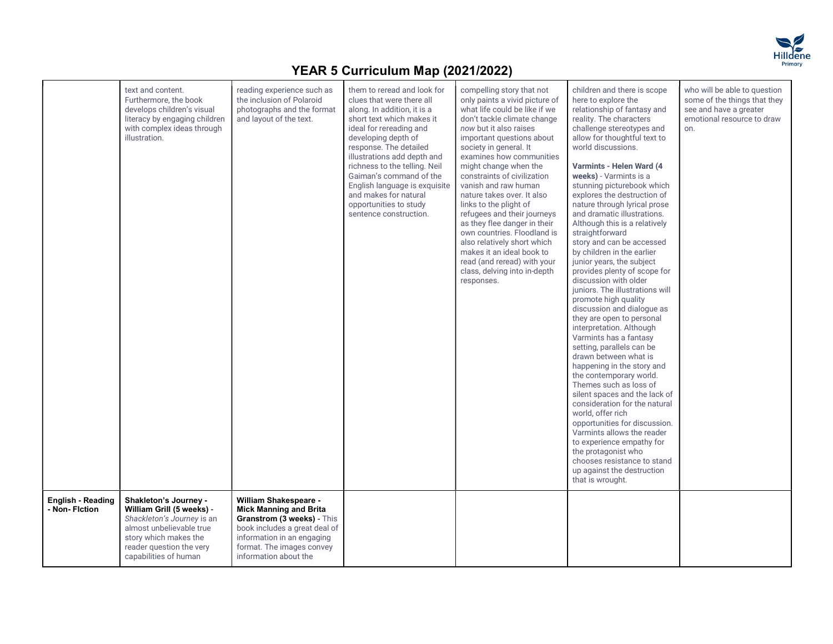

|                                            | text and content.<br>Furthermore, the book<br>develops children's visual<br>literacy by engaging children<br>with complex ideas through<br>illustration.                                   | reading experience such as<br>the inclusion of Polaroid<br>photographs and the format<br>and layout of the text.                                                                                          | them to reread and look for<br>clues that were there all<br>along. In addition, it is a<br>short text which makes it<br>ideal for rereading and<br>developing depth of<br>response. The detailed<br>illustrations add depth and<br>richness to the telling. Neil<br>Gaiman's command of the<br>English language is exquisite<br>and makes for natural<br>opportunities to study<br>sentence construction. | compelling story that not<br>only paints a vivid picture of<br>what life could be like if we<br>don't tackle climate change<br>now but it also raises<br>important questions about<br>society in general. It<br>examines how communities<br>might change when the<br>constraints of civilization<br>vanish and raw human<br>nature takes over. It also<br>links to the plight of<br>refugees and their journeys<br>as they flee danger in their<br>own countries. Floodland is<br>also relatively short which<br>makes it an ideal book to<br>read (and reread) with your<br>class, delving into in-depth<br>responses. | children and there is scope<br>here to explore the<br>relationship of fantasy and<br>reality. The characters<br>challenge stereotypes and<br>allow for thoughtful text to<br>world discussions.<br>Varmints - Helen Ward (4<br>weeks) - Varmints is a<br>stunning picturebook which<br>explores the destruction of<br>nature through lyrical prose<br>and dramatic illustrations.<br>Although this is a relatively<br>straightforward<br>story and can be accessed<br>by children in the earlier<br>junior years, the subject<br>provides plenty of scope for<br>discussion with older<br>juniors. The illustrations will<br>promote high quality<br>discussion and dialogue as<br>they are open to personal<br>interpretation. Although<br>Varmints has a fantasy<br>setting, parallels can be<br>drawn between what is<br>happening in the story and<br>the contemporary world.<br>Themes such as loss of<br>silent spaces and the lack of<br>consideration for the natural<br>world, offer rich<br>opportunities for discussion.<br>Varmints allows the reader<br>to experience empathy for<br>the protagonist who<br>chooses resistance to stand<br>up against the destruction<br>that is wrought. | who will be able to question<br>some of the things that they<br>see and have a greater<br>emotional resource to draw<br>on. |
|--------------------------------------------|--------------------------------------------------------------------------------------------------------------------------------------------------------------------------------------------|-----------------------------------------------------------------------------------------------------------------------------------------------------------------------------------------------------------|-----------------------------------------------------------------------------------------------------------------------------------------------------------------------------------------------------------------------------------------------------------------------------------------------------------------------------------------------------------------------------------------------------------|-------------------------------------------------------------------------------------------------------------------------------------------------------------------------------------------------------------------------------------------------------------------------------------------------------------------------------------------------------------------------------------------------------------------------------------------------------------------------------------------------------------------------------------------------------------------------------------------------------------------------|--------------------------------------------------------------------------------------------------------------------------------------------------------------------------------------------------------------------------------------------------------------------------------------------------------------------------------------------------------------------------------------------------------------------------------------------------------------------------------------------------------------------------------------------------------------------------------------------------------------------------------------------------------------------------------------------------------------------------------------------------------------------------------------------------------------------------------------------------------------------------------------------------------------------------------------------------------------------------------------------------------------------------------------------------------------------------------------------------------------------------------------------------------------------------------------------------------|-----------------------------------------------------------------------------------------------------------------------------|
| <b>English - Reading</b><br>- Non- Fiction | Shakleton's Journey -<br>William Grill (5 weeks) -<br>Shackleton's Journey is an<br>almost unbelievable true<br>story which makes the<br>reader question the very<br>capabilities of human | William Shakespeare -<br><b>Mick Manning and Brita</b><br>Granstrom (3 weeks) - This<br>book includes a great deal of<br>information in an engaging<br>format. The images convey<br>information about the |                                                                                                                                                                                                                                                                                                                                                                                                           |                                                                                                                                                                                                                                                                                                                                                                                                                                                                                                                                                                                                                         |                                                                                                                                                                                                                                                                                                                                                                                                                                                                                                                                                                                                                                                                                                                                                                                                                                                                                                                                                                                                                                                                                                                                                                                                        |                                                                                                                             |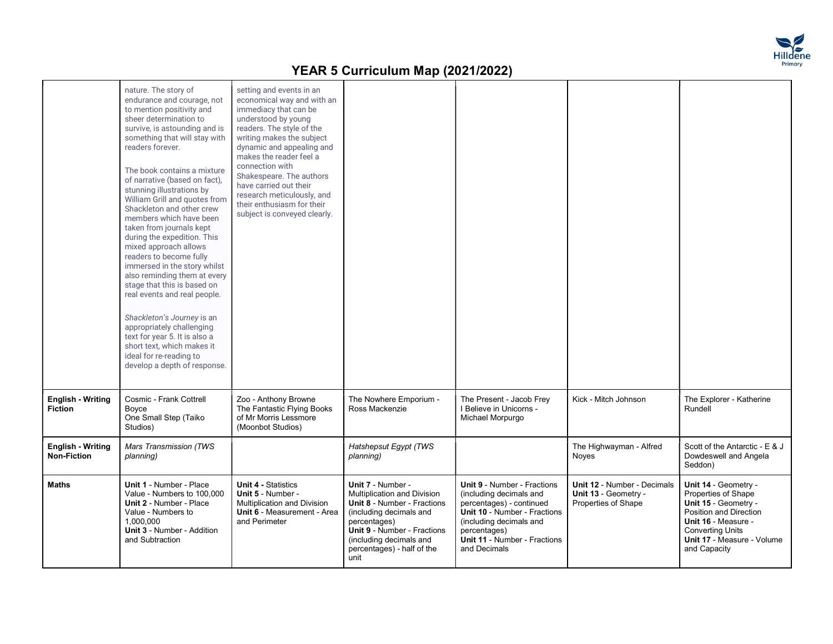

|                                                | nature. The story of<br>endurance and courage, not<br>to mention positivity and<br>sheer determination to<br>survive, is astounding and is<br>something that will stay with<br>readers forever.<br>The book contains a mixture<br>of narrative (based on fact).<br>stunning illustrations by<br>William Grill and quotes from<br>Shackleton and other crew<br>members which have been<br>taken from journals kept<br>during the expedition. This<br>mixed approach allows<br>readers to become fully<br>immersed in the story whilst<br>also reminding them at every<br>stage that this is based on<br>real events and real people.<br>Shackleton's Journey is an<br>appropriately challenging<br>text for year 5. It is also a<br>short text, which makes it<br>ideal for re-reading to<br>develop a depth of response. | setting and events in an<br>economical way and with an<br>immediacy that can be<br>understood by young<br>readers. The style of the<br>writing makes the subject<br>dynamic and appealing and<br>makes the reader feel a<br>connection with<br>Shakespeare. The authors<br>have carried out their<br>research meticulously, and<br>their enthusiasm for their<br>subject is conveyed clearly. |                                                                                                                                                                                                                                                 |                                                                                                                                                                                                                                    |                                                                                   |                                                                                                                                                                                               |
|------------------------------------------------|--------------------------------------------------------------------------------------------------------------------------------------------------------------------------------------------------------------------------------------------------------------------------------------------------------------------------------------------------------------------------------------------------------------------------------------------------------------------------------------------------------------------------------------------------------------------------------------------------------------------------------------------------------------------------------------------------------------------------------------------------------------------------------------------------------------------------|-----------------------------------------------------------------------------------------------------------------------------------------------------------------------------------------------------------------------------------------------------------------------------------------------------------------------------------------------------------------------------------------------|-------------------------------------------------------------------------------------------------------------------------------------------------------------------------------------------------------------------------------------------------|------------------------------------------------------------------------------------------------------------------------------------------------------------------------------------------------------------------------------------|-----------------------------------------------------------------------------------|-----------------------------------------------------------------------------------------------------------------------------------------------------------------------------------------------|
| <b>English - Writing</b><br><b>Fiction</b>     | Cosmic - Frank Cottrell<br>Boyce<br>One Small Step (Taiko<br>Studios)                                                                                                                                                                                                                                                                                                                                                                                                                                                                                                                                                                                                                                                                                                                                                    | Zoo - Anthony Browne<br>The Fantastic Flying Books<br>of Mr Morris Lessmore<br>(Moonbot Studios)                                                                                                                                                                                                                                                                                              | The Nowhere Emporium -<br>Ross Mackenzie                                                                                                                                                                                                        | The Present - Jacob Frey<br>I Believe in Unicorns -<br>Michael Morpurgo                                                                                                                                                            | Kick - Mitch Johnson                                                              | The Explorer - Katherine<br>Rundell                                                                                                                                                           |
| <b>English - Writing</b><br><b>Non-Fiction</b> | Mars Transmission (TWS<br>planning)                                                                                                                                                                                                                                                                                                                                                                                                                                                                                                                                                                                                                                                                                                                                                                                      |                                                                                                                                                                                                                                                                                                                                                                                               | Hatshepsut Egypt (TWS<br>planning)                                                                                                                                                                                                              |                                                                                                                                                                                                                                    | The Highwayman - Alfred<br>Noves                                                  | Scott of the Antarctic - E & J<br>Dowdeswell and Angela<br>Seddon)                                                                                                                            |
| <b>Maths</b>                                   | <b>Unit 1 - Number - Place</b><br>Value - Numbers to 100,000<br><b>Unit 2 - Number - Place</b><br>Value - Numbers to<br>1,000,000<br>Unit 3 - Number - Addition<br>and Subtraction                                                                                                                                                                                                                                                                                                                                                                                                                                                                                                                                                                                                                                       | <b>Unit 4 - Statistics</b><br>Unit 5 - Number -<br>Multiplication and Division<br>Unit 6 - Measurement - Area<br>and Perimeter                                                                                                                                                                                                                                                                | Unit 7 - Number -<br><b>Multiplication and Division</b><br><b>Unit 8 - Number - Fractions</b><br>(including decimals and<br>percentages)<br><b>Unit 9 - Number - Fractions</b><br>(including decimals and<br>percentages) - half of the<br>unit | <b>Unit 9 - Number - Fractions</b><br>(including decimals and<br>percentages) - continued<br><b>Unit 10 - Number - Fractions</b><br>(including decimals and<br>percentages)<br><b>Unit 11 - Number - Fractions</b><br>and Decimals | <b>Unit 12 - Number - Decimals</b><br>Unit 13 - Geometry -<br>Properties of Shape | Unit 14 - Geometry -<br>Properties of Shape<br>Unit 15 - Geometry -<br>Position and Direction<br>Unit 16 - Measure -<br><b>Converting Units</b><br>Unit 17 - Measure - Volume<br>and Capacity |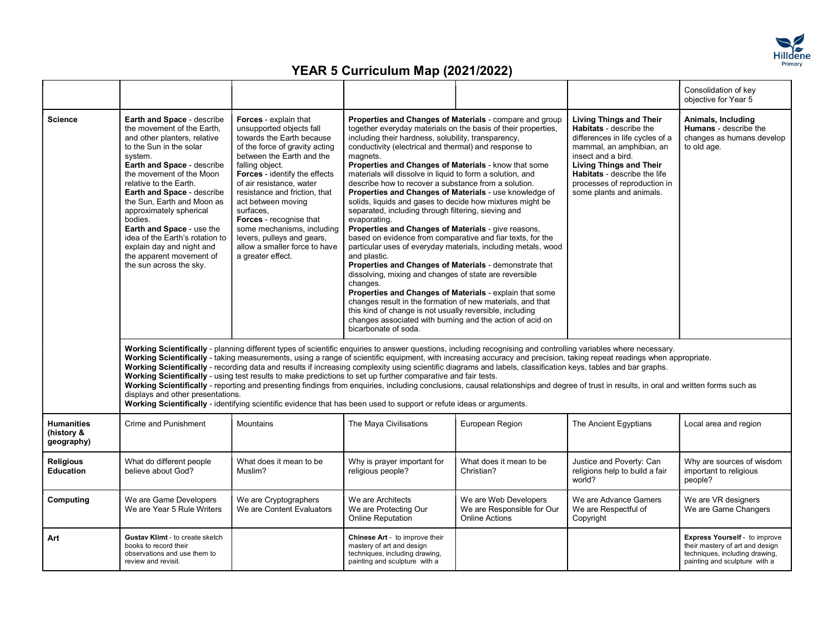

|                                               |                                                                                                                                                                                                                                                                                                                                                                                                                                                                                        |                                                                                                                                                                                                                                                                                                                                                                                                                                                |                                                                                                                                                                                                                                                                                                                                                                                                                                                                                                                                                                                                                                                                                                                                                                                                                                                                                                                                                                                                                                                    |                                                                                                                                                                                                                                                                                                                                                                                                                                                                                                                                                                                                                                                                                                        |                                                                                                                                                                                                                                                                                     | Consolidation of key<br>objective for Year 5                                                                                        |
|-----------------------------------------------|----------------------------------------------------------------------------------------------------------------------------------------------------------------------------------------------------------------------------------------------------------------------------------------------------------------------------------------------------------------------------------------------------------------------------------------------------------------------------------------|------------------------------------------------------------------------------------------------------------------------------------------------------------------------------------------------------------------------------------------------------------------------------------------------------------------------------------------------------------------------------------------------------------------------------------------------|----------------------------------------------------------------------------------------------------------------------------------------------------------------------------------------------------------------------------------------------------------------------------------------------------------------------------------------------------------------------------------------------------------------------------------------------------------------------------------------------------------------------------------------------------------------------------------------------------------------------------------------------------------------------------------------------------------------------------------------------------------------------------------------------------------------------------------------------------------------------------------------------------------------------------------------------------------------------------------------------------------------------------------------------------|--------------------------------------------------------------------------------------------------------------------------------------------------------------------------------------------------------------------------------------------------------------------------------------------------------------------------------------------------------------------------------------------------------------------------------------------------------------------------------------------------------------------------------------------------------------------------------------------------------------------------------------------------------------------------------------------------------|-------------------------------------------------------------------------------------------------------------------------------------------------------------------------------------------------------------------------------------------------------------------------------------|-------------------------------------------------------------------------------------------------------------------------------------|
| <b>Science</b>                                | Earth and Space - describe<br>the movement of the Earth,<br>and other planters, relative<br>to the Sun in the solar<br>system.<br><b>Earth and Space - describe</b><br>the movement of the Moon<br>relative to the Earth.<br><b>Earth and Space - describe</b><br>the Sun, Earth and Moon as<br>approximately spherical<br>bodies.<br>Earth and Space - use the<br>idea of the Earth's rotation to<br>explain day and night and<br>the apparent movement of<br>the sun across the sky. | Forces - explain that<br>unsupported objects fall<br>towards the Earth because<br>of the force of gravity acting<br>between the Earth and the<br>falling object.<br>Forces - identify the effects<br>of air resistance, water<br>resistance and friction, that<br>act between moving<br>surfaces,<br>Forces - recognise that<br>some mechanisms, including<br>levers, pulleys and gears,<br>allow a smaller force to have<br>a greater effect. | including their hardness, solubility, transparency,<br>conductivity (electrical and thermal) and response to<br>magnets.<br>Properties and Changes of Materials - know that some<br>materials will dissolve in liquid to form a solution, and<br>describe how to recover a substance from a solution.<br>Properties and Changes of Materials - use knowledge of<br>solids, liquids and gases to decide how mixtures might be<br>separated, including through filtering, sieving and<br>evaporating.<br>Properties and Changes of Materials - give reasons,<br>based on evidence from comparative and fiar texts, for the<br>and plastic.<br>Properties and Changes of Materials - demonstrate that<br>dissolving, mixing and changes of state are reversible<br>changes.<br>Properties and Changes of Materials - explain that some<br>changes result in the formation of new materials, and that<br>this kind of change is not usually reversible, including<br>changes associated with burning and the action of acid on<br>bicarbonate of soda. | Properties and Changes of Materials - compare and group<br>together everyday materials on the basis of their properties,<br>particular uses of everyday materials, including metals, wood                                                                                                                                                                                                                                                                                                                                                                                                                                                                                                              | <b>Living Things and Their</b><br><b>Habitats</b> - describe the<br>differences in life cycles of a<br>mammal, an amphibian, an<br>insect and a bird.<br><b>Living Things and Their</b><br>Habitats - describe the life<br>processes of reproduction in<br>some plants and animals. | Animals, Including<br><b>Humans</b> - describe the<br>changes as humans develop<br>to old age.                                      |
|                                               | displays and other presentations.                                                                                                                                                                                                                                                                                                                                                                                                                                                      | Working Scientifically - using test results to make predictions to set up further comparative and fair tests.<br>Working Scientifically - identifying scientific evidence that has been used to support or refute ideas or arguments.                                                                                                                                                                                                          |                                                                                                                                                                                                                                                                                                                                                                                                                                                                                                                                                                                                                                                                                                                                                                                                                                                                                                                                                                                                                                                    | Working Scientifically - planning different types of scientific enquiries to answer questions, including recognising and controlling variables where necessary.<br>Working Scientifically - taking measurements, using a range of scientific equipment, with increasing accuracy and precision, taking repeat readings when appropriate.<br>Working Scientifically - recording data and results if increasing complexity using scientific diagrams and labels, classification keys, tables and bar graphs.<br>Working Scientifically - reporting and presenting findings from enquiries, including conclusions, causal relationships and degree of trust in results, in oral and written forms such as |                                                                                                                                                                                                                                                                                     |                                                                                                                                     |
| <b>Humanities</b><br>(history &<br>geography) | Crime and Punishment                                                                                                                                                                                                                                                                                                                                                                                                                                                                   | <b>Mountains</b>                                                                                                                                                                                                                                                                                                                                                                                                                               | The Maya Civilisations                                                                                                                                                                                                                                                                                                                                                                                                                                                                                                                                                                                                                                                                                                                                                                                                                                                                                                                                                                                                                             | European Region                                                                                                                                                                                                                                                                                                                                                                                                                                                                                                                                                                                                                                                                                        | The Ancient Egyptians                                                                                                                                                                                                                                                               | Local area and region                                                                                                               |
| Religious<br><b>Education</b>                 | What do different people<br>believe about God?                                                                                                                                                                                                                                                                                                                                                                                                                                         | What does it mean to be<br>Muslim?                                                                                                                                                                                                                                                                                                                                                                                                             | Why is prayer important for<br>religious people?                                                                                                                                                                                                                                                                                                                                                                                                                                                                                                                                                                                                                                                                                                                                                                                                                                                                                                                                                                                                   | What does it mean to be<br>Christian?                                                                                                                                                                                                                                                                                                                                                                                                                                                                                                                                                                                                                                                                  | Justice and Poverty: Can<br>religions help to build a fair<br>world?                                                                                                                                                                                                                | Why are sources of wisdom<br>important to religious<br>people?                                                                      |
| Computing                                     | We are Game Developers<br>We are Year 5 Rule Writers                                                                                                                                                                                                                                                                                                                                                                                                                                   | We are Cryptographers<br>We are Content Evaluators                                                                                                                                                                                                                                                                                                                                                                                             | We are Architects<br>We are Protecting Our<br>Online Reputation                                                                                                                                                                                                                                                                                                                                                                                                                                                                                                                                                                                                                                                                                                                                                                                                                                                                                                                                                                                    | We are Web Developers<br>We are Responsible for Our<br><b>Online Actions</b>                                                                                                                                                                                                                                                                                                                                                                                                                                                                                                                                                                                                                           | We are Advance Gamers<br>We are Respectful of<br>Copyright                                                                                                                                                                                                                          | We are VR designers<br>We are Game Changers                                                                                         |
| Art                                           | <b>Gustav Klimt - to create sketch</b><br>books to record their<br>observations and use them to<br>review and revisit.                                                                                                                                                                                                                                                                                                                                                                 |                                                                                                                                                                                                                                                                                                                                                                                                                                                | Chinese Art - to improve their<br>mastery of art and design<br>techniques, including drawing,<br>painting and sculpture with a                                                                                                                                                                                                                                                                                                                                                                                                                                                                                                                                                                                                                                                                                                                                                                                                                                                                                                                     |                                                                                                                                                                                                                                                                                                                                                                                                                                                                                                                                                                                                                                                                                                        |                                                                                                                                                                                                                                                                                     | Express Yourself - to improve<br>their mastery of art and design<br>techniques, including drawing,<br>painting and sculpture with a |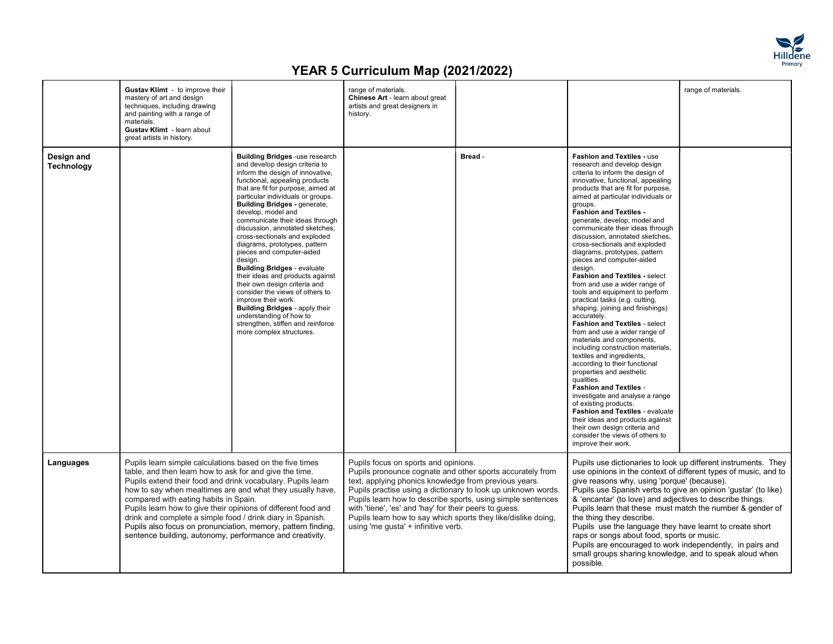

|                                 | Gustav Klimt - to improve their<br>mastery of art and design<br>techniques, including drawing<br>and painting with a range of<br>materials.<br>Gustav Klimt - learn about<br>great artists in history.                                                                                                                                                                                                                                                                                 |                                                                                                                                                                                                                                                                                                                                                                                                                                                                                                                                                                                                                                                                                                                                                                                 | range of materials.<br>Chinese Art - learn about great<br>artists and great designers in<br>history.                                                                                                                                                                                                                                                                                                                                                        |         |                                                                                                                                                                                                                                                                                                                                                                                                                                                                                                                                                                                                                                                                                                                                                                                                                                                                                                                                                                                                                                                                                                                                                                                       | range of materials. |  |
|---------------------------------|----------------------------------------------------------------------------------------------------------------------------------------------------------------------------------------------------------------------------------------------------------------------------------------------------------------------------------------------------------------------------------------------------------------------------------------------------------------------------------------|---------------------------------------------------------------------------------------------------------------------------------------------------------------------------------------------------------------------------------------------------------------------------------------------------------------------------------------------------------------------------------------------------------------------------------------------------------------------------------------------------------------------------------------------------------------------------------------------------------------------------------------------------------------------------------------------------------------------------------------------------------------------------------|-------------------------------------------------------------------------------------------------------------------------------------------------------------------------------------------------------------------------------------------------------------------------------------------------------------------------------------------------------------------------------------------------------------------------------------------------------------|---------|---------------------------------------------------------------------------------------------------------------------------------------------------------------------------------------------------------------------------------------------------------------------------------------------------------------------------------------------------------------------------------------------------------------------------------------------------------------------------------------------------------------------------------------------------------------------------------------------------------------------------------------------------------------------------------------------------------------------------------------------------------------------------------------------------------------------------------------------------------------------------------------------------------------------------------------------------------------------------------------------------------------------------------------------------------------------------------------------------------------------------------------------------------------------------------------|---------------------|--|
| Design and<br><b>Technology</b> |                                                                                                                                                                                                                                                                                                                                                                                                                                                                                        | <b>Building Bridges -use research</b><br>and develop design criteria to<br>inform the design of innovative,<br>functional, appealing products<br>that are fit for purpose, aimed at<br>particular individuals or groups.<br><b>Building Bridges - generate,</b><br>develop, model and<br>communicate their ideas through<br>discussion, annotated sketches,<br>cross-sectionals and exploded<br>diagrams, prototypes, pattern<br>pieces and computer-aided<br>design.<br><b>Building Bridges - evaluate</b><br>their ideas and products against<br>their own design criteria and<br>consider the views of others to<br>improve their work.<br><b>Building Bridges - apply their</b><br>understanding of how to<br>strengthen, stiffen and reinforce<br>more complex structures. |                                                                                                                                                                                                                                                                                                                                                                                                                                                             | Bread - | Fashion and Textiles - use<br>research and develop design<br>criteria to inform the design of<br>innovative, functional, appealing<br>products that are fit for purpose,<br>aimed at particular individuals or<br>groups.<br><b>Fashion and Textiles -</b><br>generate, develop, model and<br>communicate their ideas through<br>discussion, annotated sketches,<br>cross-sectionals and exploded<br>diagrams, prototypes, pattern<br>pieces and computer-aided<br>desian.<br><b>Fashion and Textiles - select</b><br>from and use a wider range of<br>tools and equipment to perform<br>practical tasks (e.g. cutting,<br>shaping, joining and finishings)<br>accurately.<br>Fashion and Textiles - select<br>from and use a wider range of<br>materials and components,<br>including construction materials,<br>textiles and ingredients,<br>according to their functional<br>properties and aesthetic<br>qualities.<br><b>Fashion and Textiles -</b><br>investigate and analyse a range<br>of existing products.<br>Fashion and Textiles - evaluate<br>their ideas and products against<br>their own design criteria and<br>consider the views of others to<br>improve their work. |                     |  |
| Languages                       | Pupils learn simple calculations based on the five times<br>table, and then learn how to ask for and give the time.<br>Pupils extend their food and drink vocabulary. Pupils learn<br>compared with eating habits in Spain.<br>Pupils learn how to give their opinions of different food and<br>drink and complete a simple food / drink diary in Spanish.<br>Pupils also focus on pronunciation, memory, pattern finding,<br>sentence building, autonomy, performance and creativity. | how to say when mealtimes are and what they usually have,                                                                                                                                                                                                                                                                                                                                                                                                                                                                                                                                                                                                                                                                                                                       | Pupils focus on sports and opinions.<br>Pupils pronounce cognate and other sports accurately from<br>text, applying phonics knowledge from previous years.<br>Pupils practise using a dictionary to look up unknown words.<br>Pupils learn how to describe sports, using simple sentences<br>with 'tiene', 'es' and 'hay' for their peers to quess.<br>Pupils learn how to say which sports they like/dislike doing,<br>using 'me gusta' + infinitive verb. |         | Pupils use dictionaries to look up different instruments. They<br>use opinions in the context of different types of music, and to<br>give reasons why, using 'porque' (because).<br>Pupils use Spanish verbs to give an opinion 'gustar' (to like)<br>& 'encantar' (to love) and adjectives to describe things.<br>Pupils learn that these must match the number & gender of<br>the thing they describe.<br>Pupils use the language they have learnt to create short<br>raps or songs about food, sports or music.<br>Pupils are encouraged to work independently, in pairs and<br>small groups sharing knowledge, and to speak aloud when<br>possible.                                                                                                                                                                                                                                                                                                                                                                                                                                                                                                                               |                     |  |